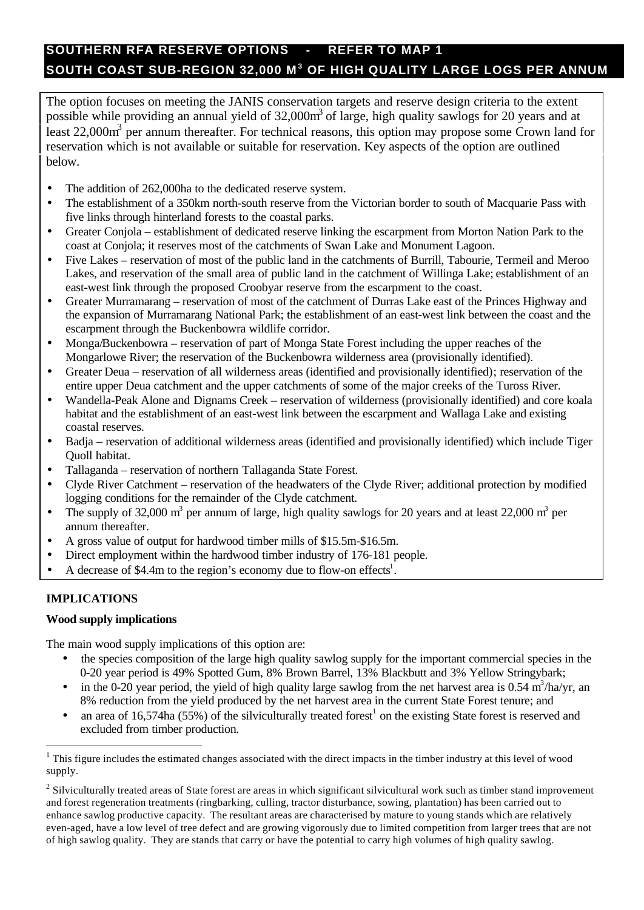# **SOUTHERN RFA RESERVE OPTIONS - REFER TO MAP 1 SOUTH COAST SUB-REGION 32,000 M <sup>3</sup> OF HIGH QUALITY LARGE LOGS PER ANNUM**

The option focuses on meeting the JANIS conservation targets and reserve design criteria to the extent possible while providing an annual yield of 32,000m<sup>3</sup> of large, high quality sawlogs for 20 years and at least  $22,000\text{m}^3$  per annum thereafter. For technical reasons, this option may propose some Crown land for reservation which is not available or suitable for reservation. Key aspects of the option are outlined below.

- The addition of 262,000ha to the dedicated reserve system.
- The establishment of a 350km north-south reserve from the Victorian border to south of Macquarie Pass with five links through hinterland forests to the coastal parks.
- Greater Conjola establishment of dedicated reserve linking the escarpment from Morton Nation Park to the coast at Conjola; it reserves most of the catchments of Swan Lake and Monument Lagoon.
- Five Lakes reservation of most of the public land in the catchments of Burrill, Tabourie, Termeil and Meroo Lakes, and reservation of the small area of public land in the catchment of Willinga Lake; establishment of an east-west link through the proposed Croobyar reserve from the escarpment to the coast.
- Greater Murramarang reservation of most of the catchment of Durras Lake east of the Princes Highway and the expansion of Murramarang National Park; the establishment of an east-west link between the coast and the escarpment through the Buckenbowra wildlife corridor.
- Monga/Buckenbowra reservation of part of Monga State Forest including the upper reaches of the Mongarlowe River; the reservation of the Buckenbowra wilderness area (provisionally identified).
- Greater Deua reservation of all wilderness areas (identified and provisionally identified); reservation of the entire upper Deua catchment and the upper catchments of some of the major creeks of the Tuross River.
- Wandella-Peak Alone and Dignams Creek reservation of wilderness (provisionally identified) and core koala habitat and the establishment of an east-west link between the escarpment and Wallaga Lake and existing coastal reserves.
- Badja reservation of additional wilderness areas (identified and provisionally identified) which include Tiger Quoll habitat.
- Tallaganda reservation of northern Tallaganda State Forest.
- Clyde River Catchment reservation of the headwaters of the Clyde River; additional protection by modified logging conditions for the remainder of the Clyde catchment.
- The supply of 32,000  $\text{m}^3$  per annum of large, high quality sawlogs for 20 years and at least 22,000  $\text{m}^3$  per annum thereafter.
- A gross value of output for hardwood timber mills of \$15.5m-\$16.5m.
- Direct employment within the hardwood timber industry of 176-181 people.
- A decrease of \$4.4m to the region's economy due to flow-on effects<sup>1</sup>.

## **IMPLICATIONS**

l

### **Wood supply implications**

The main wood supply implications of this option are:

- the species composition of the large high quality sawlog supply for the important commercial species in the 0-20 year period is 49% Spotted Gum, 8% Brown Barrel, 13% Blackbutt and 3% Yellow Stringybark;
- in the 0-20 year period, the yield of high quality large sawlog from the net harvest area is 0.54 m<sup>3</sup>/ha/yr, an 8% reduction from the yield produced by the net harvest area in the current State Forest tenure; and
- an area of 16,574ha (55%) of the silviculturally treated forest<sup>1</sup> on the existing State forest is reserved and excluded from timber production.

 $1$  This figure includes the estimated changes associated with the direct impacts in the timber industry at this level of wood supply.

 $2$  Silviculturally treated areas of State forest are areas in which significant silvicultural work such as timber stand improvement and forest regeneration treatments (ringbarking, culling, tractor disturbance, sowing, plantation) has been carried out to enhance sawlog productive capacity. The resultant areas are characterised by mature to young stands which are relatively even-aged, have a low level of tree defect and are growing vigorously due to limited competition from larger trees that are not of high sawlog quality. They are stands that carry or have the potential to carry high volumes of high quality sawlog.